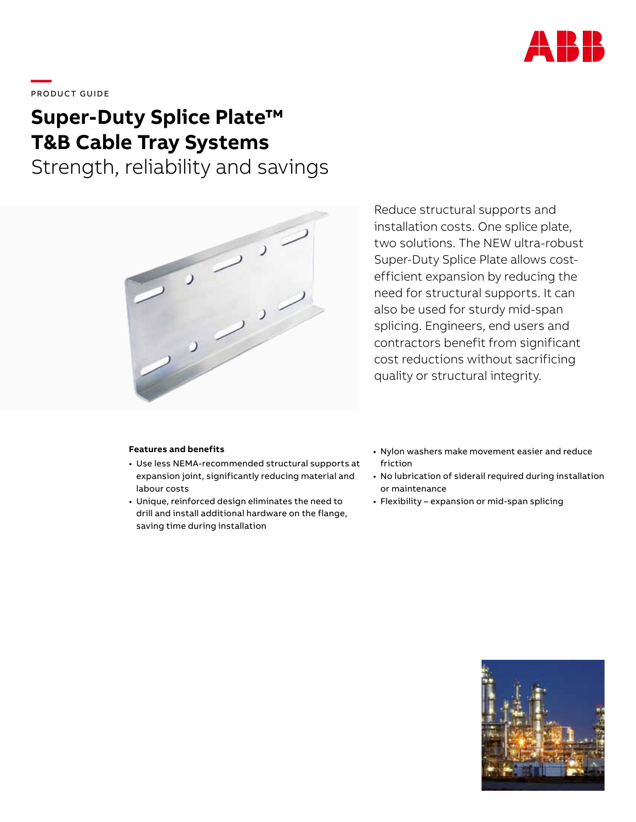

# \_\_\_\_<br>PRODUCT GUIDE

# **Super-Duty Splice Plate™ T&B Cable Tray Systems**

Strength, reliability and savings



Reduce structural supports and installation costs. One splice plate, two solutions. The NEW ultra-robust Super-Duty Splice Plate allows costefficient expansion by reducing the need for structural supports. It can also be used for sturdy mid-span splicing. Engineers, end users and contractors benefit from significant cost reductions without sacrificing quality or structural integrity.

### **Features and benefits**

- Use less NEMA-recommended structural supports at expansion joint, significantly reducing material and labour costs
- Unique, reinforced design eliminates the need to drill and install additional hardware on the flange, saving time during installation
- Nylon washers make movement easier and reduce friction
- No lubrication of siderail required during installation or maintenance
- Flexibility expansion or mid-span splicing